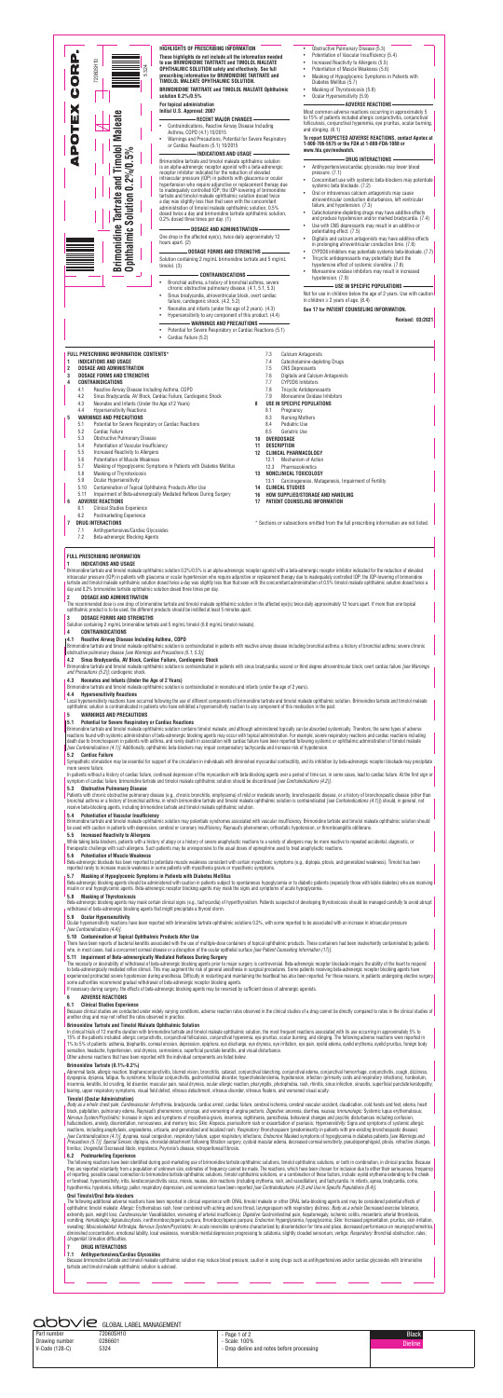

Drawing number 0286601 V-Code (128-C) 5324

Part number 72060SH10

#### - Page 1 of 2 - Scale: 100% - Drop dieline and notes before processing





Local hypersensitivity reactions have occurred following the use of different components of brimonidine tartrate and timolol maleate ophthalmic solution. Brimonidine tartrate and timolol ma ophthalmic solution is contraindicated in patients who have exhibited a hypersensitivity reaction to any component of this medication in the past.

Sympathetic stimulation may be essential for support of the circulation in individuals with diminished myocardial contractility, and its inhibition by beta-adrenergic receptor blockade may precipitate more severe failure.

In patients without a history of cardiac failure, continued depression of the myocardium with beta-blocking agents over a period of time can, in some cases, lead to cardiac failure. At the first sign or symptom of cardiac failure, brimonidine tartrate and timolol maleate ophthalmic solution should be discontinued *[see Contraindications (4.2)]*.

Patients with chronic obstructive pulmonary disease (e.g., chronic bronchitis, emphysema) of mild or moderate severity, bronchospastic disease, or a history of bronchospastic disease (other than bronchial asthma or a history of bronchial asthma, in which brimonidine tartrate and timolol maleate ophthalmic solution is contraindicated *[see Contraindications (4.1)]*) should, in general, not receive beta-blocking agents, including brimonidine tartrate and timolol maleate ophthalmic solution.

**5.9 Ocular Hypersensitivity**<br>Ocular hypersensitivity reactions have been reported with brimonidine tartrate ophthalmic solutions 0.2%, with some reported to be associated with an increase in intraocular pressure *[see Contraindications (4.4)]*.

There have been reports of bacterial keratitis associated with the use of multiple-dose containers of topical ophthalmic products. These containers had been inadvertently contaminated by patients who, in most cases, had a concurrent corneal disease or a disruption of the ocular epithelial surface *[see Patient Counseling Information (17)]*.

Because clinical studies are conducted under widely varying conditions, adverse reaction rates observed in the clinical studies of a drug cannot be directly compared to rates in the clinical studies of another drug and may not reflect the rates observed in practice.

In clinical trials of 12 months duration with brimonidine tartrate and timolol maleate ophthalmic solution, the most frequent reactions associated with its use occurring in approximately 5% to 15% of the patients included: allergic conjunctivitis, conjunctival folliculosis, conjunctival hyperemia, eye pruritus, ocular burning, and stinging. The following adverse reactions were reported in 1% to 5% of patients: asthenia, blepharitis, corneal erosion, depression, epiphora, eye discharge, eye dryness, eye irritation, eye pain, eyelid edema, eyelid erythema, eyelid pruritus, foreign body sensation, headache, hypertension, oral dryness, somnolence, superficial punctate keratitis, and visual disturbance.

**4.2 Sinus Bradycardia, AV Block, Cardiac Failure, Cardiogenic Shock**

Brimonidine tartrate and timolol maleate ophthalmic solution is contraindicated in patients with sinus bradycardia; second or third degree atrioventricular block; overt cardiac failure *[see Warnings and Precautions (5.2)]*; cardiogenic shock.

#### **4.3 Neonates and Infants (Under the Age of 2 Years)**

Brimonidine tartrate and timolol maleate ophthalmic solution is contraindicated in neonates and infants (under the age of 2 years).

**4.4 Hypersensitivity Reactions**

#### **5 WARNINGS AND PRECAUTIONS**

#### **5.1 Potential for Severe Respiratory or Cardiac Reactions**

Body as a whole: chest pain; *Cardiovascular:* Arrhythmia, bradycardia, cardiac arrest, cardiac failure, cerebral ischemia, cerebral vascular accident, claudication, cold hands and feet, edema, heart block, palpitation, pulmonary edema, Raynaud's phenomenon, syncope, and worsening of angina pectoris; *Digestive:* anorexia, diarrhea, nausea; *Immunologic:* Systemic lupus erythematosus; *Nervous System/Psychiatric:* Increase in signs and symptoms of myasthenia gravis, insomnia, nightmares, paresthesia, behavioral changes and psychic disturbances including confusion, hallucinations, anxiety, disorientation, nervousness, and memory loss; *Skin:* Alopecia, psoriasiform rash or exacerbation of psoriasis; *Hypersensitivity:* Signs and symptoms of systemic allergic reactions, including anaphylaxis, angioedema, urticaria, and generalized and localized rash; *Respiratory:* Bronchospasm (predominantly in patients with pre-existing bronchospastic disease) *[see Contraindications (4.1)]*, dyspnea, nasal congestion, respiratory failure, upper respiratory infections; *Endocrine:* Masked symptoms of hypoglycemia in diabetes patients *[see Warnings and Precautions (5.7)]*; *Special Senses:* diplopia, choroidal detachment following filtration surgery, cystoid macular edema, decreased corneal sensitivity, pseudopemphigoid, ptosis, refractive changes, tinnitus; *Urogenital:* Decreased libido, impotence, Peyronie's disease, retroperitoneal fibrosis.

Brimonidine tartrate and timolol maleate ophthalmic solution contains timolol maleate; and although administered topically can be absorbed systemically. Therefore, the same types of adverse reactions found with systemic administration of beta-adrenergic blocking agents may occur with topical administration. For example, severe respiratory reactions and cardiac reactions including death due to bronchospasm in patients with asthma, and rarely death in association with cardiac failure have been reported following systemic or ophthalmic administration of timolol maleate *[see Contraindications (4.1)]*. Additionally, ophthalmic beta-blockers may impair compensatory tachycardia and increase risk of hypotension.

### **5.2 Cardiac Failure**

#### **5.3 Obstructive Pulmonary Disease**

## **5.4 Potentiation of Vascular Insufficiency**

Brimonidine tartrate and timolol maleate ophthalmic solution may potentiate syndromes associated with vascular insufficiency. Brimonidine tartrate and timolol maleate ophthalmic solution should be used with caution in patients with depression, cerebral or coronary insufficiency, Raynaud's phenomenon, orthostatic hypotension, or thromboangiitis obliterans.

#### **5.5 Increased Reactivity to Allergens**

While taking beta-blockers, patients with a history of atopy or a history of severe anaphylactic reactions to a variety of allergens may be more reactive to repeated accidental, diagnostic, or therapeutic challenge with such allergens. Such patients may be unresponsive to the usual doses of epinephrine used to treat anaphylactic reactions.

#### **5.6 Potentiation of Muscle Weakness**

Beta-adrenergic blockade has been reported to potentiate muscle weakness consistent with certain myasthenic symptoms (e.g., diplopia, ptosis, and generalized weakness). Timolol has been reported rarely to increase muscle weakness in some patients with myasthenia gravis or myasthenic symptoms.

## **5.7 Masking of Hypoglycemic Symptoms in Patients with Diabetes Mellitus**

Beta-adrenergic blocking agents should be administered with caution in patients subject to spontaneous hypoglycemia or to diabetic patients (especially those with labile diabetes) who are receiving insulin or oral hypoglycemic agents. Beta-adrenergic receptor blocking agents may mask the signs and symptoms of acute hypoglycemia.

#### **5.8 Masking of Thyrotoxicosis**

Beta-adrenergic blocking agents may mask certain clinical signs (e.g., tachycardia) of hyperthyroidism. Patients suspected of developing thyrotoxicosis should be managed carefully to avoid abrupt withdrawal of beta-adrenergic blocking agents that might precipitate a thyroid storm.

#### **5.10 Contamination of Topical Ophthalmic Products After Use**

# **5.11 Impairment of Beta-adrenergically Mediated Reflexes During Surgery**

The necessity or desirability of withdrawal of beta-adrenergic blocking agents prior to major surgery is controversial. Beta-adrenergic receptor blockade impairs the ability of the heart to respond to beta-adrenergically mediated reflex stimuli. This may augment the risk of general anesthesia in surgical procedures. Some patients receiving beta-adrenergic receptor blocking agents have experienced protracted severe hypotension during anesthesia. Difficulty in restarting and maintaining the heartbeat has also been reported. For these reasons, in patients undergoing elective surgery, some authorities recommend gradual withdrawal of beta-adrenergic receptor blocking agents.

If necessary during surgery, the effects of beta-adrenergic blocking agents may be reversed by sufficient doses of adrenergic agonists.

#### **6 ADVERSE REACTIONS**

#### **6.1 Clinical Studies Experience**

#### **Brimonidine Tartrate and Timolol Maleate Ophthalmic Solution**

Other adverse reactions that have been reported with the individual components are listed below.

#### **Brimonidine Tartrate (0.1%-0.2%)**

Abnormal taste, allergic reaction, blepharoconjunctivitis, blurred vision, bronchitis, cataract, conjunctival blanching, conjunctival edema, conjunctival hemorrhage, conjunctivitis, cough, dizziness, dyspepsia, dyspnea, fatigue, flu syndrome, follicular conjunctivitis, gastrointestinal disorder, hypercholesterolemia, hypotension, infection (primarily colds and respiratory infections), hordeolum, insomnia, keratitis, lid crusting, lid disorder, muscular pain, nasal dryness, ocular allergic reaction, pharyngitis, photophobia, rash, rhinitis, sinus infection, sinusitis, superficial punctate keratopathy, tearing, upper respiratory symptoms, visual field defect, vitreous detachment, vitreous disorder, vitreous floaters, and worsened visual acuity.

#### **Timolol (Ocular Administration)**

#### **6.2 Postmarketing Experience**

The following reactions have been identified during post-marketing use of brimonidine tartrate ophthalmic solutions, timolol ophthalmic solutions, or both in combination, in clinical practice. Because they are reported voluntarily from a population of unknown size, estimates of frequency cannot be made. The reactions, which have been chosen for inclusion due to either their seriousness, frequency of reporting, possible causal connection to brimonidine tartrate ophthalmic solutions, timolol ophthalmic solutions, or a combination of these factors, include: eyelid erythema extending to the cheek or forehead, hypersensitivity, iritis, keratoconjunctivitis sicca, miosis, nausea, skin reactions (including erythema, rash, and vasodilation), and tachycardia. In infants, apnea, bradycardia, coma, hypothermia, hypotonia, lethargy, pallor, respiratory depression, and somnolence have been reported *[see Contraindications (4.3) and Use in Specific Populations (8.4)]*.

#### **Oral Timolol/Oral Beta-blockers**

The following additional adverse reactions have been reported in clinical experience with ORAL timolol maleate or other ORAL beta-blocking agents and may be considered potential effects of ophthalmic timolol maleate: *Allergic:* Erythematous rash, fever combined with aching and sore throat, laryngospasm with respiratory distress; *Body as a whole:* Decreased exercise tolerance, extremity pain, weight loss; *Cardiovascular:* Vasodilatation, worsening of arterial insufficiency; *Digestive:* Gastrointestinal pain, hepatomegaly, ischemic colitis, mesenteric arterial thrombosis, vomiting; *Hematologic:* Agranulocytosis, nonthrombocytopenic purpura, thrombocytopenic purpura; *Endocrine:* Hyperglycemia, hypoglycemia; *Skin:* Increased pigmentation, pruritus, skin irritation, sweating; *Musculoskeletal:* Arthralgia; *Nervous System/Psychiatric:* An acute reversible syndrome characterized by disorientation for time and place, decreased performance on neuropsychometrics, diminished concentration, emotional lability, local weakness, reversible mental depression progressing to catatonia, slightly clouded sensorium, vertigo; *Respiratory:* Bronchial obstruction, rales; *Urogenital:* Urination difficulties.

#### **7 DRUG INTERACTIONS**

#### **7.1 Antihypertensives/Cardiac Glycosides**

Because brimonidine tartrate and timolol maleate ophthalmic solution may reduce blood pressure, caution in using drugs such as antihypertensives and/or cardiac glycosides with brimonidine<br>tartrate and timolol maleate ophth